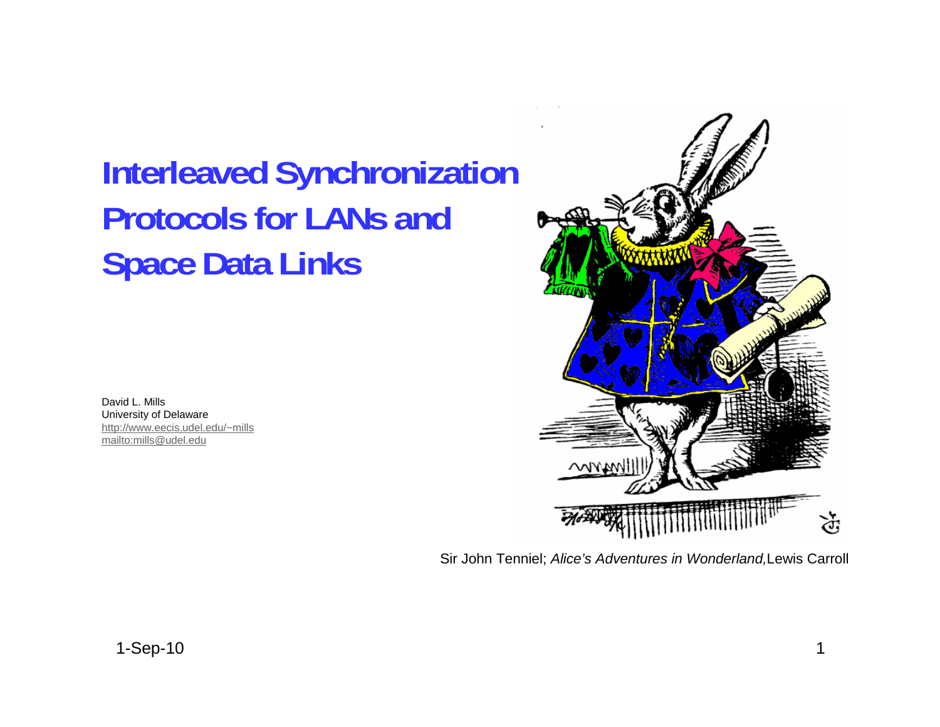# **Interleaved Synchronization Protocols for LANs andSpace Data Links**

David L. MillsUniversity of Delaware http://www.eecis.udel.edu/~mills mailto:mills@udel.edu



Sir John Tenniel; *Alice's Adventures in Wonderland,*Lewis Carroll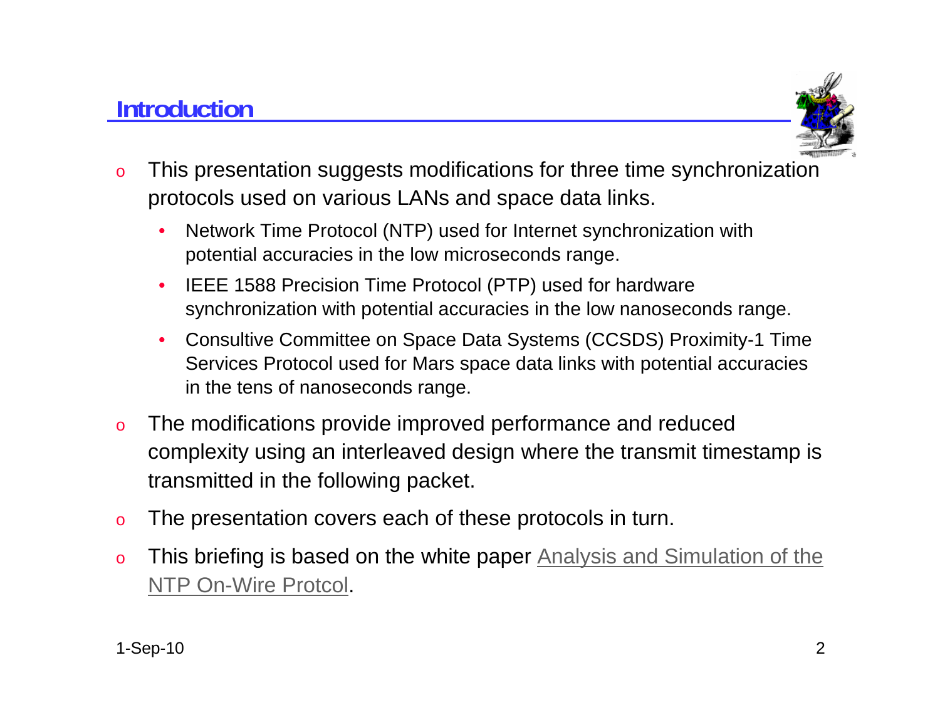# **Introduction**



- o This presentation suggests modifications for three time synchronization protocols used on various LANs and space data links.
	- • Network Time Protocol (NTP) used for Internet synchronization with potential accuracies in the low microseconds range.
	- • IEEE 1588 Precision Time Protocol (PTP) used for hardware synchronization with potential accuracies in the low nanoseconds range.
	- • Consultive Committee on Space Data Systems (CCSDS) Proximity-1 Time Services Protocol used for Mars space data links with potential accuracies in the tens of nanoseconds range.
- o The modifications provide improved performance and reduced complexity using an interleaved design where the transmit timestamp is transmitted in the following packet.
- oThe presentation covers each of these protocols in turn.
- oThis briefing is based on the white paper Analysis and Simulation of the NTP On-Wire Protcol.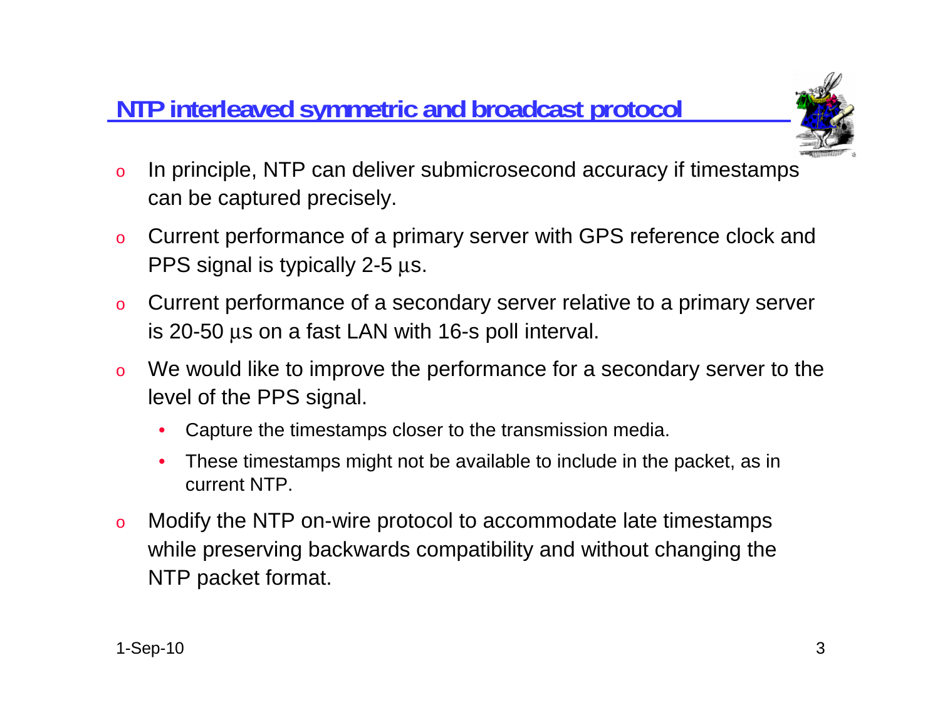# **NTP interleaved symmetric and broadcast protocol**



- o In principle, NTP can deliver submicrosecond accuracy if timestamps can be captured precisely.
- o Current performance of a primary server with GPS reference clock and PPS signal is typically 2-5 μs.
- o Current performance of a secondary server relative to a primary server is 20-50 μs on a fast LAN with 16-s poll interval.
- o We would like to improve the performance for a secondary server to the level of the PPS signal.
	- •Capture the timestamps closer to the transmission media.
	- • These timestamps might not be available to include in the packet, as in current NTP.
- o Modify the NTP on-wire protocol to accommodate late timestamps while preserving backwards compatibility and without changing the NTP packet format.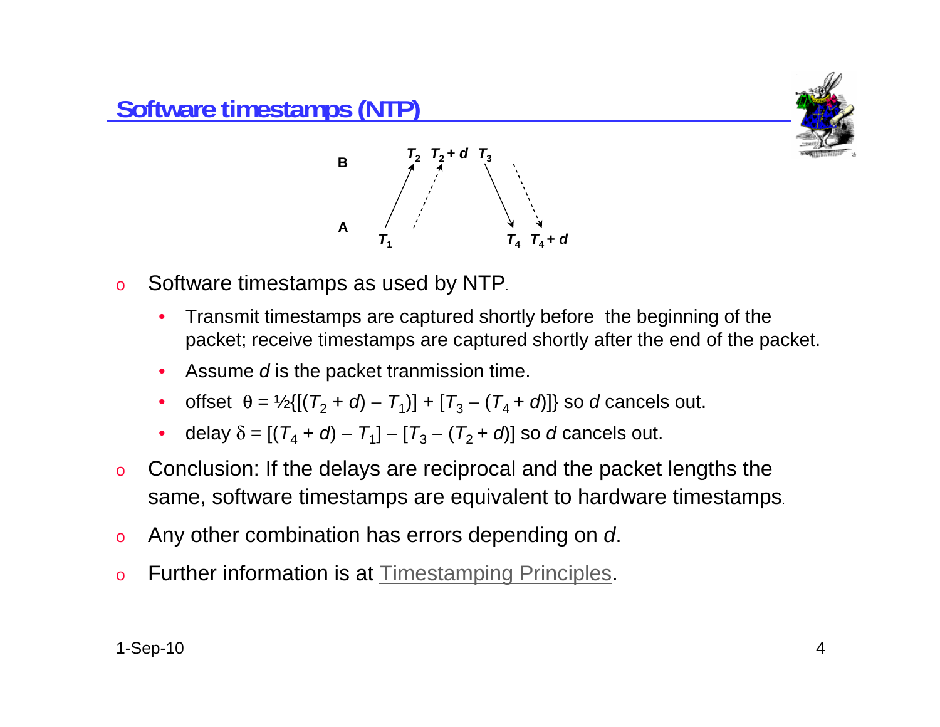





- o Software timestamps as used by NTP.
	- • Transmit timestamps are captured shortly before the beginning of the packet; receive timestamps are captured shortly after the end of the packet.
	- •Assume *d* is the packet tranmission time.
	- •• offset  $θ = \frac{1}{2} [ (T_2 + d) - T_1 ] ] + [T_3 - (T_4 + d) ]$ } so *d* cancels out.
	- • $\bullet$  delay δ = [( $T_4$  + *d*) −  $T_1$ ] − [ $T_3$  − ( $T_2$  + *d*)] so *d* cancels out.
- o Conclusion: If the delays are reciprocal and the packet lengths the same, software timestamps are equivalent to hardware timestamps.
- oAny other combination has errors depending on *d*.
- oFurther information is at Timestamping Principles.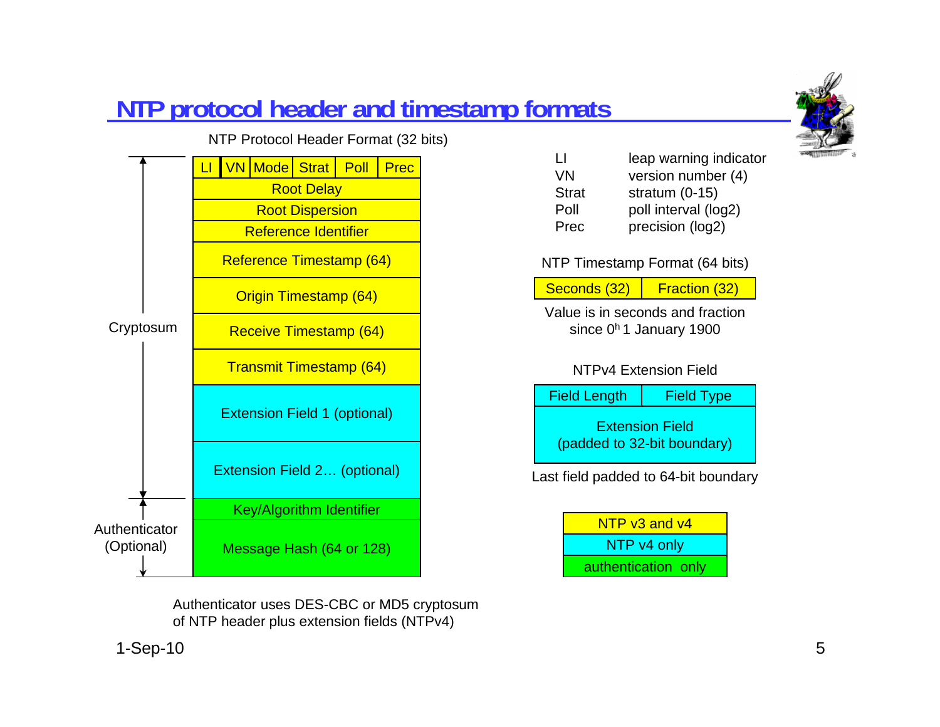# **NTP protocol header and timestamp formats**

NTP Protocol Header Format (32 bits)

LI |VN |Mode | Strat | Poll Root Delay Root Dispersion Reference IdentifierReference Timestamp (64) Origin Timestamp (64) Receive Timestamp (64) Transmit Timestamp (64) Message Hash (64 or 128) Key/Algorithm Identifier Cryptosum Authenticator(Optional) Extension Field 1 (optional) Extension Field 2… (optional) **Prec** 

> Authenticator uses DES-CBC or MD5 cryptosum of NTP header plus extension fields (NTPv4)



NTP Timestamp Format (64 bits)

Seconds (32) Fraction (32)

Value is in seconds and fractionsince 0<sup>h</sup> 1 January 1900

#### NTPv4 Extension Field

| <b>Field Length</b>         | <b>Field Type</b> |  |  |  |  |  |
|-----------------------------|-------------------|--|--|--|--|--|
| <b>Extension Field</b>      |                   |  |  |  |  |  |
| (padded to 32-bit boundary) |                   |  |  |  |  |  |

Last field padded to 64-bit boundary

NTP v3 and v4 NTP v4 only authentication only



1-Sep-10 5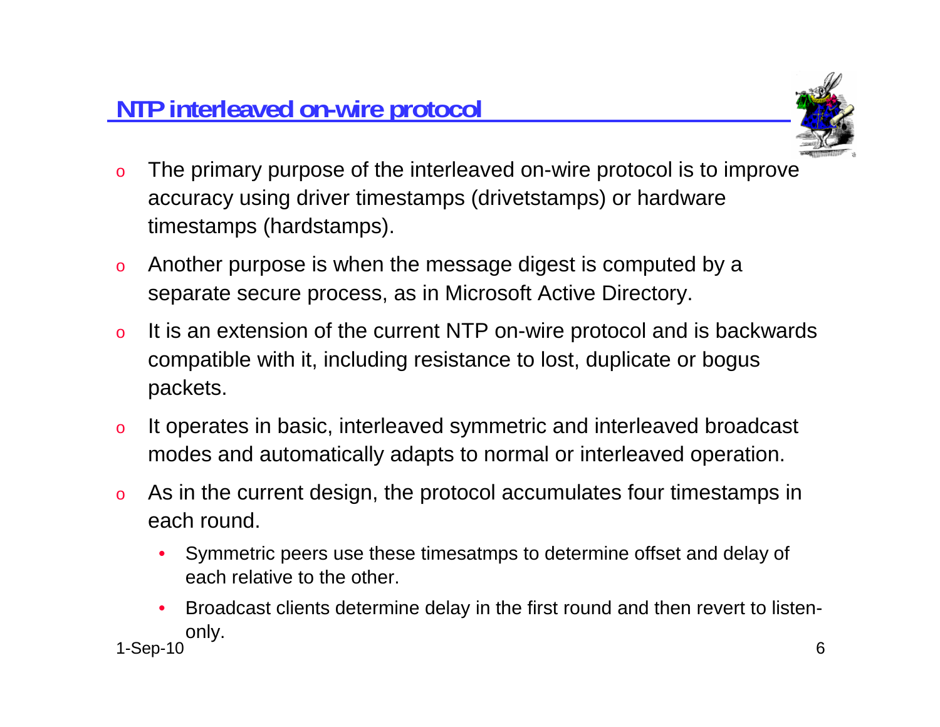

- o The primary purpose of the interleaved on-wire protocol is to improve accuracy using driver timestamps (drivetstamps) or hardware timestamps (hardstamps).
- o Another purpose is when the message digest is computed by a separate secure process, as in Microsoft Active Directory.
- o It is an extension of the current NTP on-wire protocol and is backwards compatible with it, including resistance to lost, duplicate or bogus packets.
- o It operates in basic, interleaved symmetric and interleaved broadcast modes and automatically adapts to normal or interleaved operation.
- o As in the current design, the protocol accumulates four timestamps in each round.
	- • Symmetric peers use these timesatmps to determine offset and delay of each relative to the other.
- • Broadcast clients determine delay in the first round and then revert to listenonly. 1-Sep-10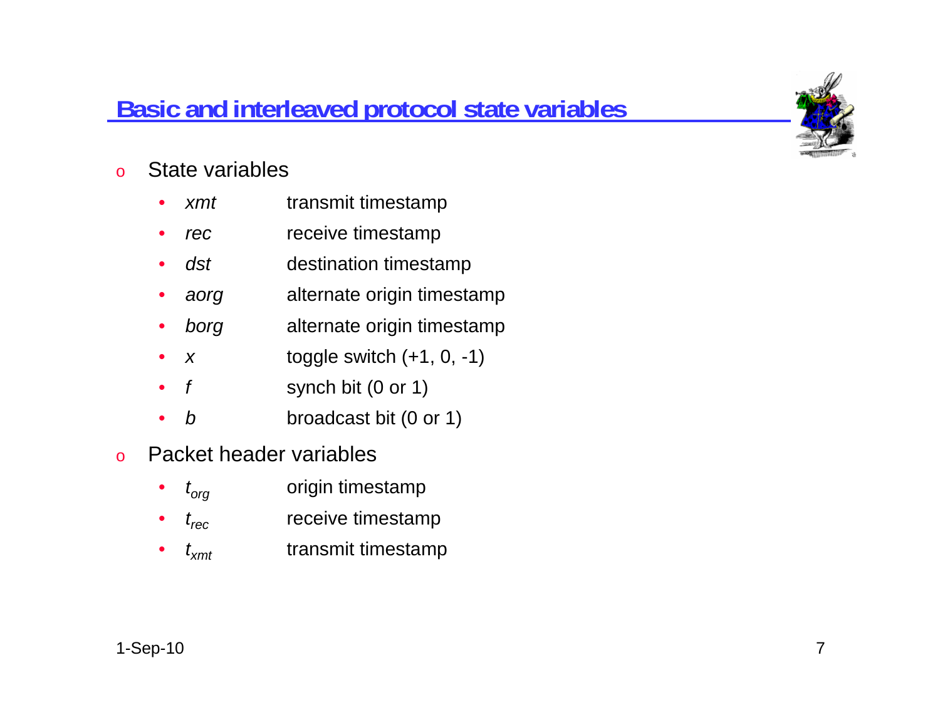# **Basic and interleaved protocol state variables**



- o State variables
	- $\bullet$ *xmt* transmit timestamp
	- • *rec*receive timestamp
	- •*dst* destination timestamp
	- •*aorg* alternate origin timestamp
	- •**borg** alternate origin timestamp
	- •*x*toggle switch (+1, 0, -1)
	- •*f*synch bit (0 or 1)
	- •*b*broadcast bit (0 or 1)
- o Packet header variables
	- •*t<sub>org</sub>* origin timestamp
	- • *trec*receive timestamp
	- • *txmt*transmit timestamp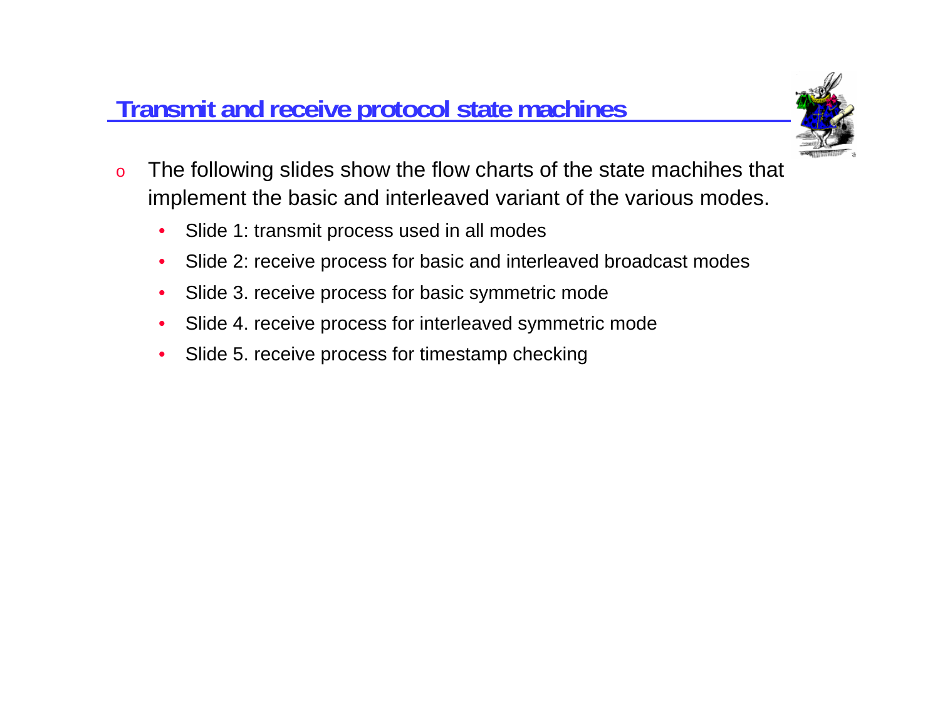### **Transmit and receive protocol state machines**



- o The following slides show the flow charts of the state machihes that implement the basic and interleaved variant of the various modes.
	- •Slide 1: transmit process used in all modes
	- •Slide 2: receive process for basic and interleaved broadcast modes
	- •Slide 3. receive process for basic symmetric mode
	- •Slide 4. receive process for interleaved symmetric mode
	- •Slide 5. receive process for timestamp checking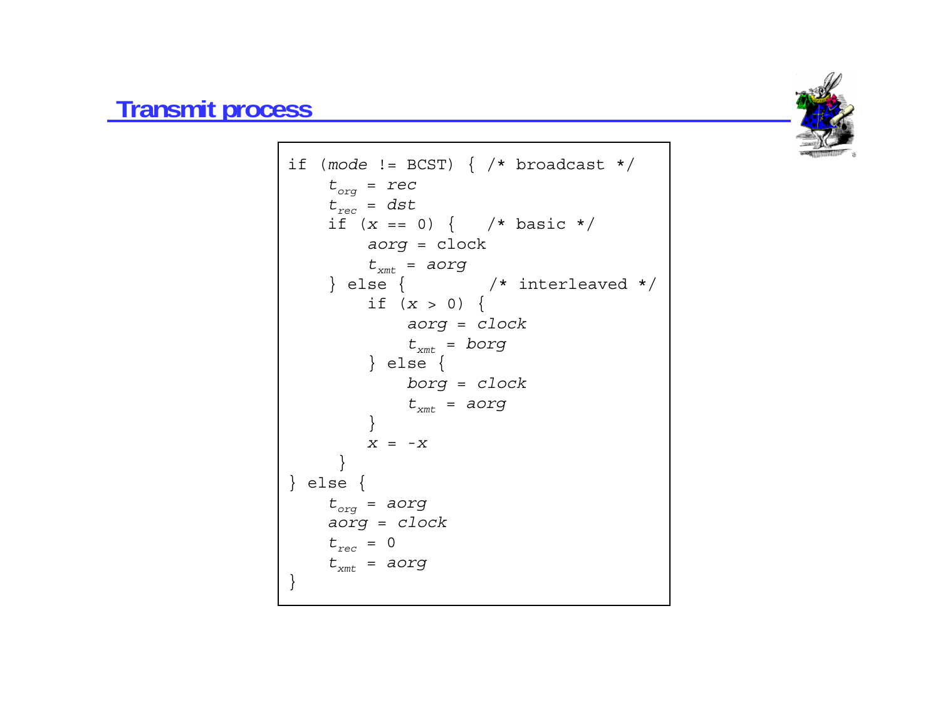#### **Transmit process**

```
if (mode != BCST) { /* broadcast */
    t_{\text{org}} = rectrec =dst
    if (x == 0) { /* basic */
        aorg = clock
         txmt =aorg
    \} else { \prime * interleaved */
        if (x > 0) {
            aorg =clock
             txmt =borg
        } else {
            borg =clock
             txmt =aorg
         }
         x = -x
     }
} else {
   torg =aorg
    aorg =clock
    t_{_{rec}} = 0
    txmt =aorg
}
```
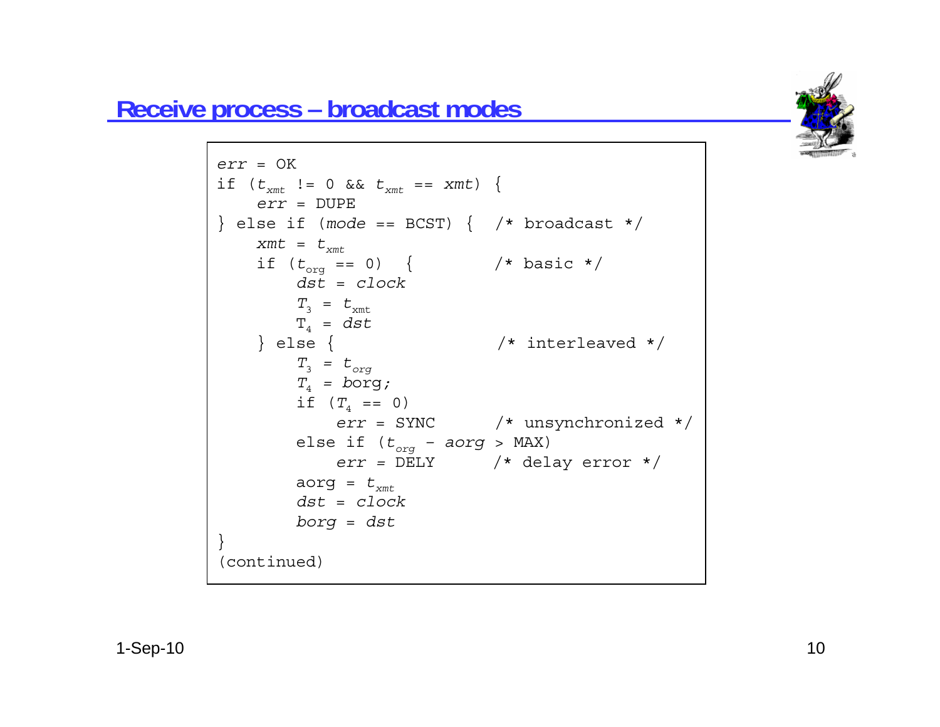#### **Receive process – broadcast modes**



```
err = OK
if (
txmt != 0 && 
txmt == xmt) {
    err = DUPE
} else if (mode == BCST) { /* broadcast */
    xmt = 
txmt
if (
torg == 0) { /* basic */
         dst =clock
         T_{_3} = t_{_{\rm xmt}}
T4 =dst
    \} else { \qquad \qquad /* interleaved */
         T_{3} = t_{org}T4 = borg;
         if (T_{_4} == 0)
             err = SYNC /* unsynchronized */
         else if (
torg – aorg > MAX)
             err = DELY /* delay error */
         aorg =
txmt
dst =clock
        borg =dst
}
(continued)
```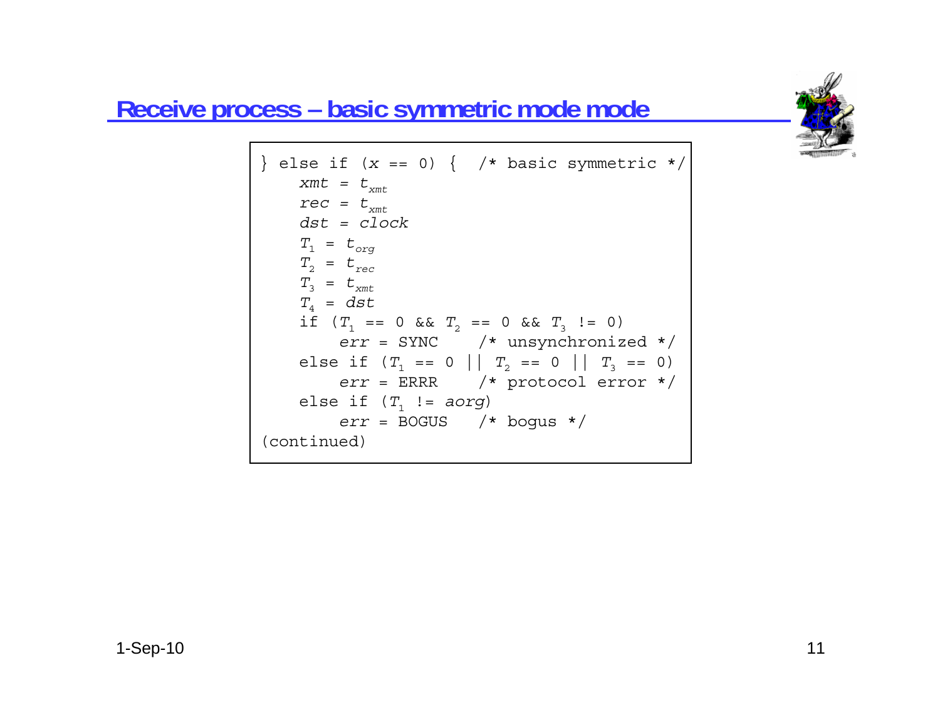

#### **Receive process – basic symmetric mode mode**

```
} else if (
x == 0) { /* basic symmetric */
    xmt = t_{x}rec = t_{xmt}dst = clock
     T_{1} = t_{org}T_{_{2}} = t_{_{rec}}T_3 = t_{xmt}T4 =dst
     if (T_{_1} == 0 && T_{_2} == 0 && T_{_3} != 0)
          err = SYNC /* unsynchronized */
     else if (T_{_1} == 0 \mid | T_{_2} == 0 \mid | T_{_3} == 0)
          err = ERRR /* protocol error */
     else if (
T1 != aorg)
          err = BOGUS /* bogus */
(continued)
```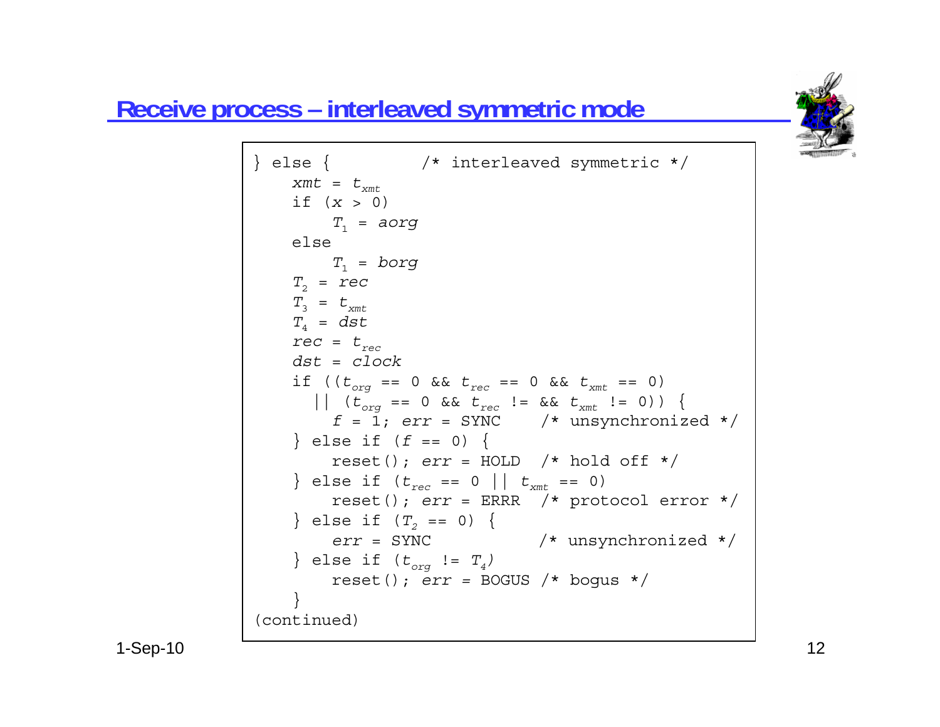

# **Receive process – interleaved symmetric mode**

```
} else { /* interleaved symmetric */
    xmt = 
txmtif (
x > 0)
         T1 =aorg
    elseT1 =borg
    T2 =rec
    T_{_3} = t_{_{X\!m\!t}}T4 =dst
    rec = 
trecdst =clock
    if ((t_{\mathit{org}} == 0 && t_{\mathit{rec}} == 0 && t_{\mathit{xmt}} == 0)
       || (
torg == 0 && 
trec != && 
txmt != 0)) {
         f = 1; err = SYNC /* unsynchronized */
     } else if (
f == 0) {
        reset(); err = HOLD /* hold off */
     } else if (
trec == 0 || 
txmt == 0)
        reset(); err = ERRR /* protocol error */
     } else if (T_{_2} == 0) {
         err = SYNC /* unsynchronized */
     } else if (
torg != 
T4)
        reset(); err = BOGUS /* bogus */
    }
(continued)
```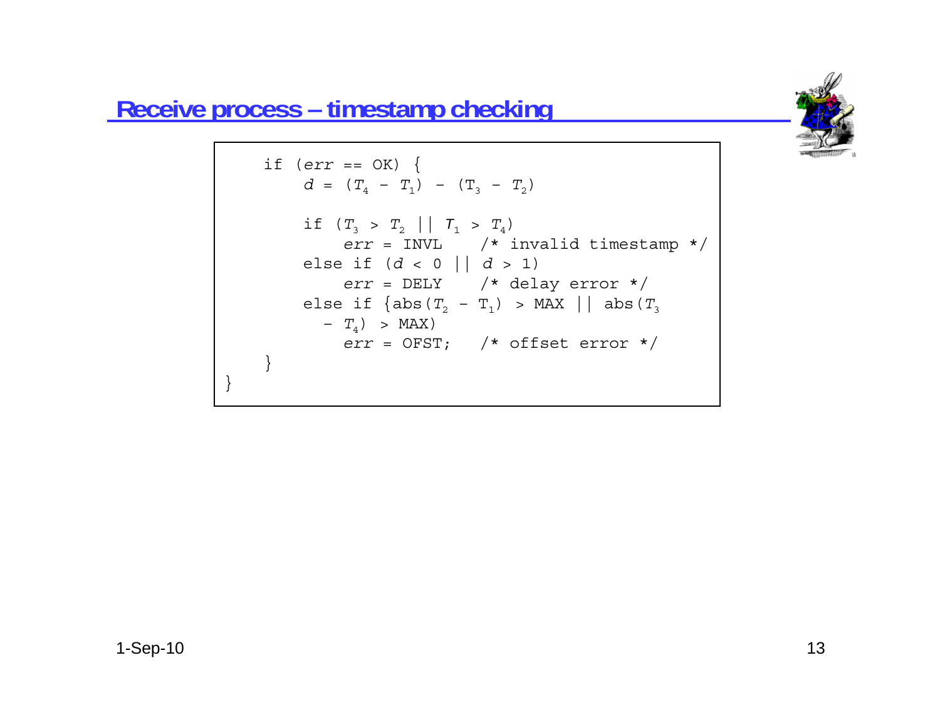

# **Receive process – timestamp checking**

```
if (err == OK) {
            d = (T_4 - T_1) - (T_3 - T_2)if (T_3 > T_2 || T_1 > T_4)
                  err = INVL /* invalid timestamp */
            else if (
d < 0 || 
d > 1)
                  err = DELY /* delay error */
            else if \{ \textsf{abs} \, (\, T_{_2} \, - \, \texttt{T}_{_1} ) \; \; > \; \texttt{MAX} \; \; | \; \} \; \; \texttt{abs} \, (\, T_{_3} \,- T_4) > MAX)
                  err = OFST; /* offset error */
      }
}
```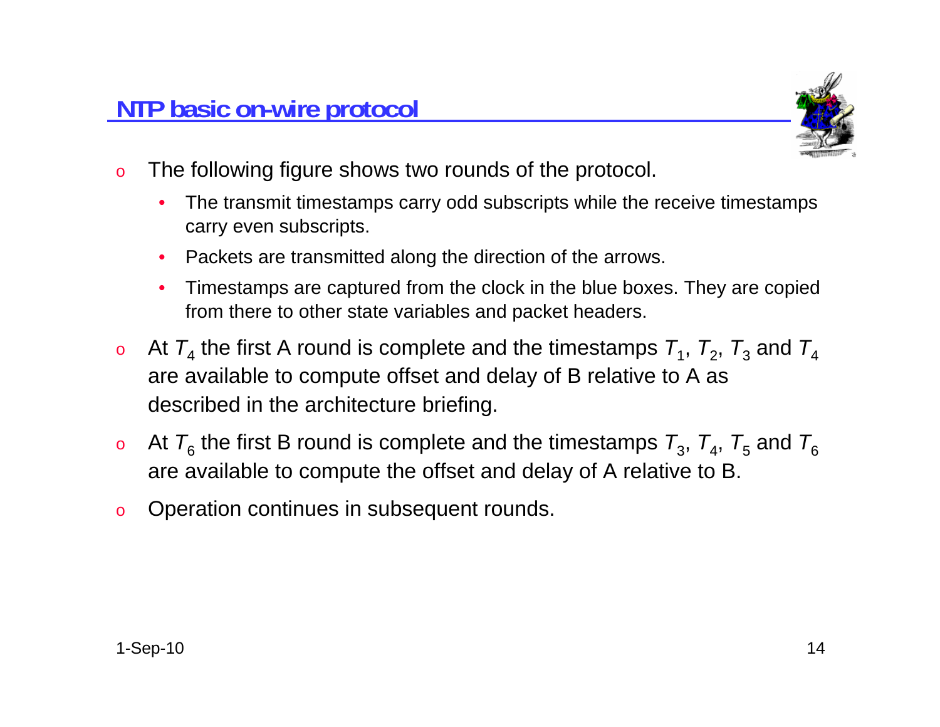

- o The following figure shows two rounds of the protocol.
	- • The transmit timestamps carry odd subscripts while the receive timestamps carry even subscripts.
	- •Packets are transmitted along the direction of the arrows.
	- • Timestamps are captured from the clock in the blue boxes. They are copied from there to other state variables and packet headers.
- $\bullet$   $\,$  At  $\,$   $T_{4}$  the first A round is complete and the timestamps  $\,$   $T_{1}$ ,  $\,$   $T_{2}$ ,  $\,$   $T_{3}$  and  $\,$   $T_{4}$ are available to compute offset and delay of B relative to A as described in the architecture briefing.
- o $\,\circ$   $\,$  At  $\,_6^{}\,$  the first B round is complete and the timestamps  $\,_3^{}\,$  ,  $\,_4^{}\,$  ,  $\,$   $\,_5^{}\,$  and  $\,$   $\,_6^{}\,$ are available to compute the offset and delay of A relative to B.
- oOperation continues in subsequent rounds.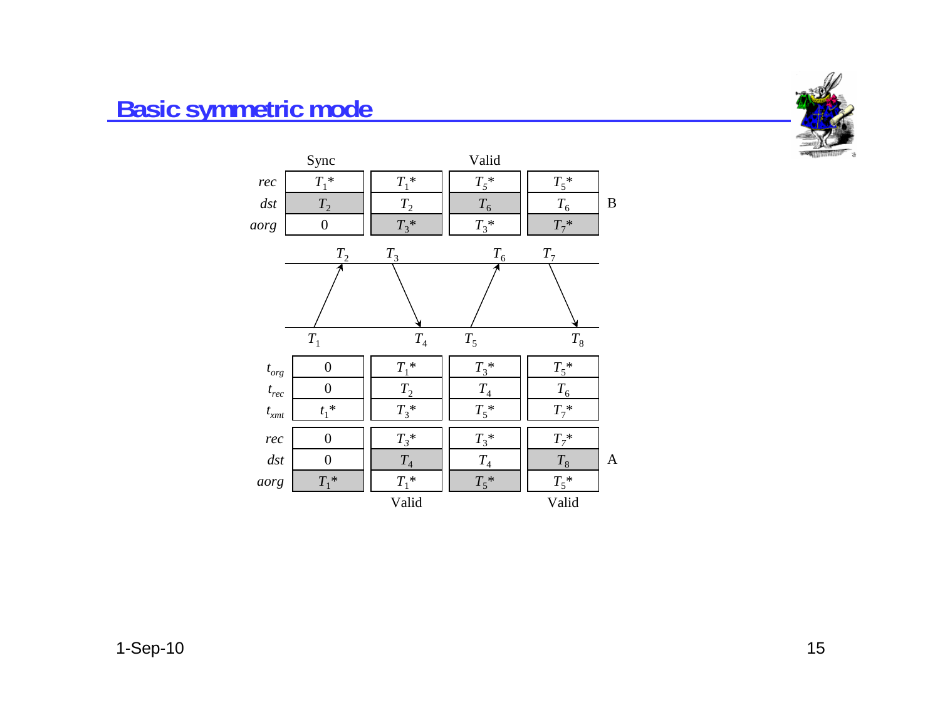# **Basic symmetric mode**



|                                          | Sync             |                  | Valid            |                    |   |
|------------------------------------------|------------------|------------------|------------------|--------------------|---|
| rec<br>$\,dst$                           | $T_1^*$<br>$T_2$ | $T_1^*$<br>$T_2$ | $T_5^*$<br>$T_6$ | $T_5$ *<br>$T_{6}$ | B |
| aorg                                     | $\boldsymbol{0}$ | $T_3^*$          | $T_3^*$          | $T_7^*$            |   |
|                                          | $T_2$            | $T_3$            | $T_6$            | $T_7$              |   |
|                                          |                  |                  |                  |                    |   |
|                                          | $T_1$            | $T_{4}$          | $T_5$            | $T_8$              |   |
| $t_{org}$                                | $\boldsymbol{0}$ | $T_1^*$          | $T_3^*$          | $T_5^*$            |   |
| $t_{\mathit{rec}}$                       | $\boldsymbol{0}$ | $T_{\rm 2}$      | ${\cal T}_4$     | $T_{6}$            |   |
| $t_{xmt}$                                | $t_1^*$          | $T_3^*$          | $T_{5}$ *        | $T_7^*$            |   |
| rec                                      | $\boldsymbol{0}$ | $T_3^*$          | $T_3^*$          | $T_7^*$            |   |
| $\, \, \mathrm{d} \mathrm{s} \mathrm{t}$ | $\overline{0}$   | $T_{4}$          | $\, T_{4} \,$    | $T_8$              | A |
| aorg                                     | $T_1^*$          | $T_1^*$          | $T_5^*$          | $T_5$ *            |   |
|                                          |                  | Valid            |                  | Valid              |   |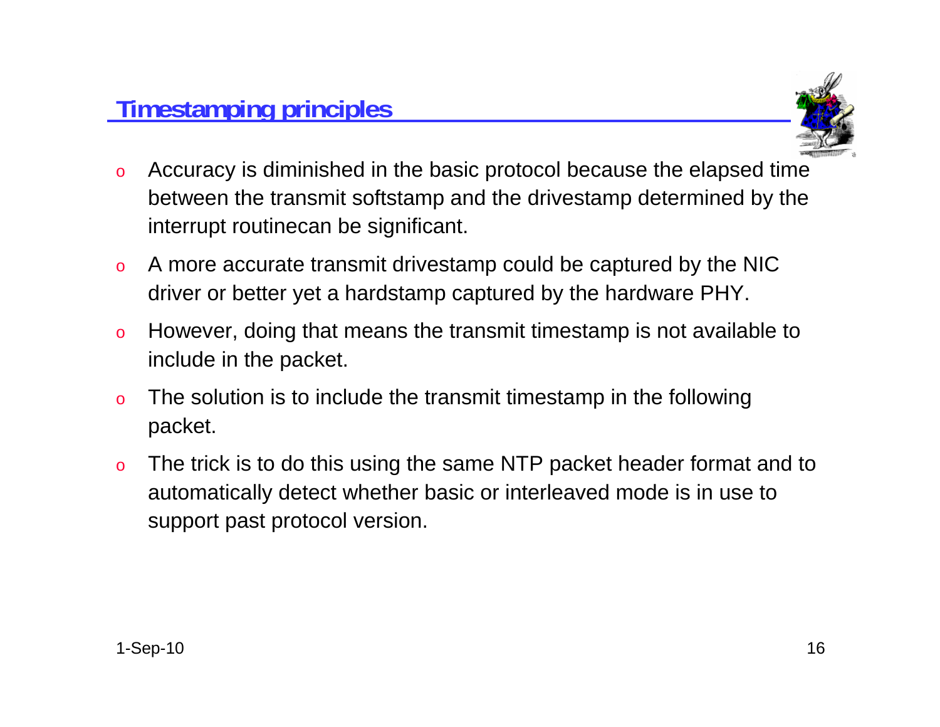

- o Accuracy is diminished in the basic protocol because the elapsed time between the transmit softstamp and the drivestamp determined by the interrupt routinecan be significant.
- o A more accurate transmit drivestamp could be captured by the NIC driver or better yet a hardstamp captured by the hardware PHY.
- o However, doing that means the transmit timestamp is not available to include in the packet.
- o The solution is to include the transmit timestamp in the following packet.
- o The trick is to do this using the same NTP packet header format and to automatically detect whether basic or interleaved mode is in use to support past protocol version.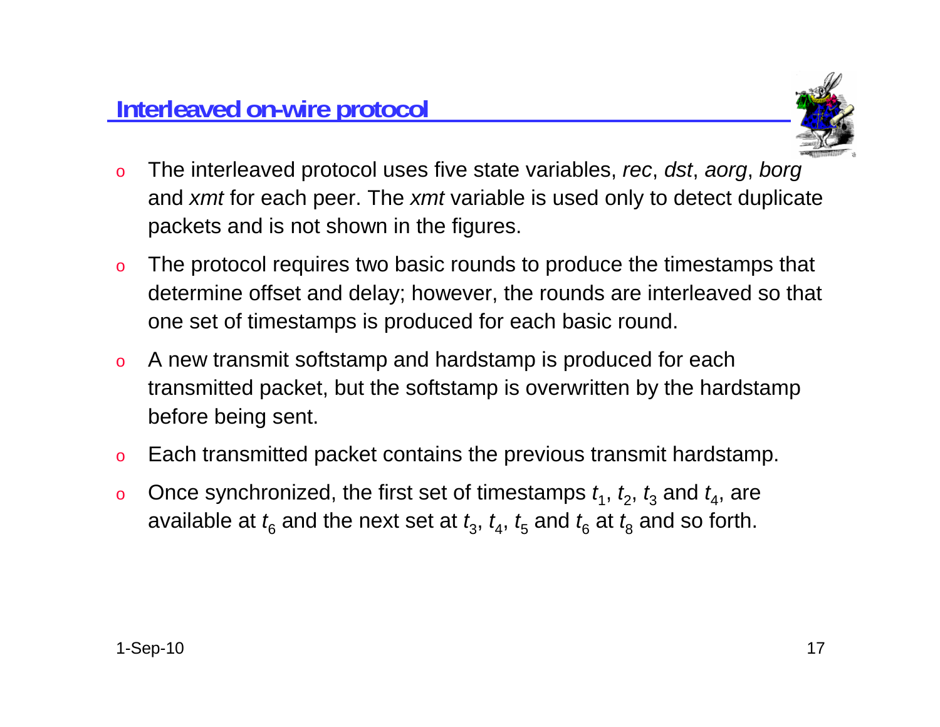

- o The interleaved protocol uses five state variables, *rec*, *dst*, *aorg*, *borg* and *xmt* for each peer. The *xmt* variable is used only to detect duplicate packets and is not shown in the figures.
- o The protocol requires two basic rounds to produce the timestamps that determine offset and delay; however, the rounds are interleaved so that one set of timestamps is produced for each basic round.
- o A new transmit softstamp and hardstamp is produced for each transmitted packet, but the softstamp is overwritten by the hardstamp before being sent.
- oEach transmitted packet contains the previous transmit hardstamp.
- o $\circ$  Once synchronized, the first set of timestamps  $t_1, t_2, t_3$  and  $t_4$ , are available at  $t_6$  and the next set at  $t_3$ ,  $t_4$ ,  $t_5$  and  $t_6$  at  $t_8$  and so forth.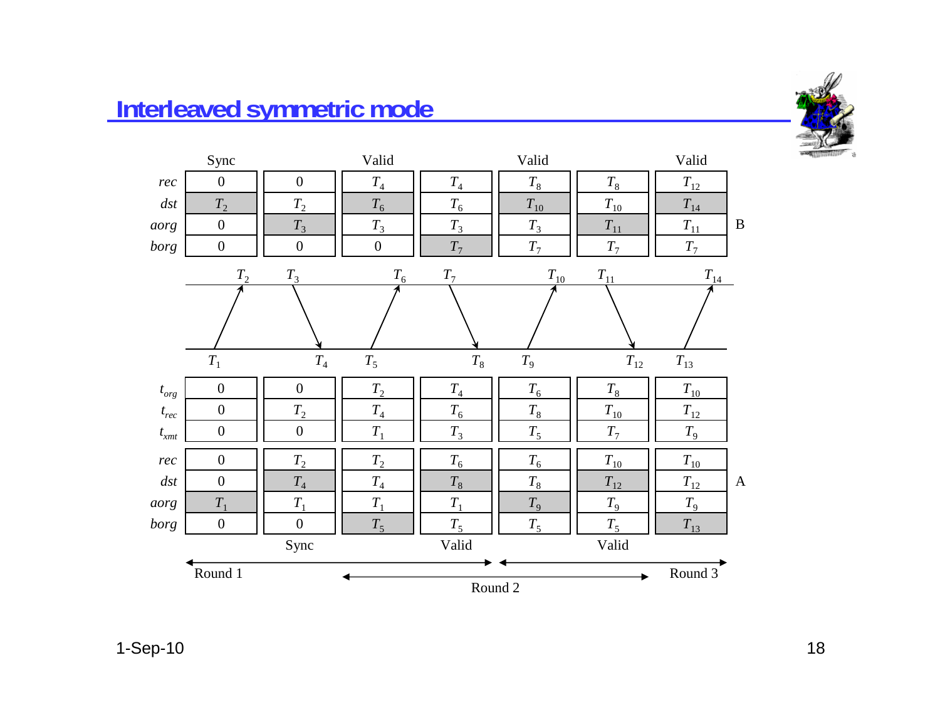

# **Interleaved symmetric mode**

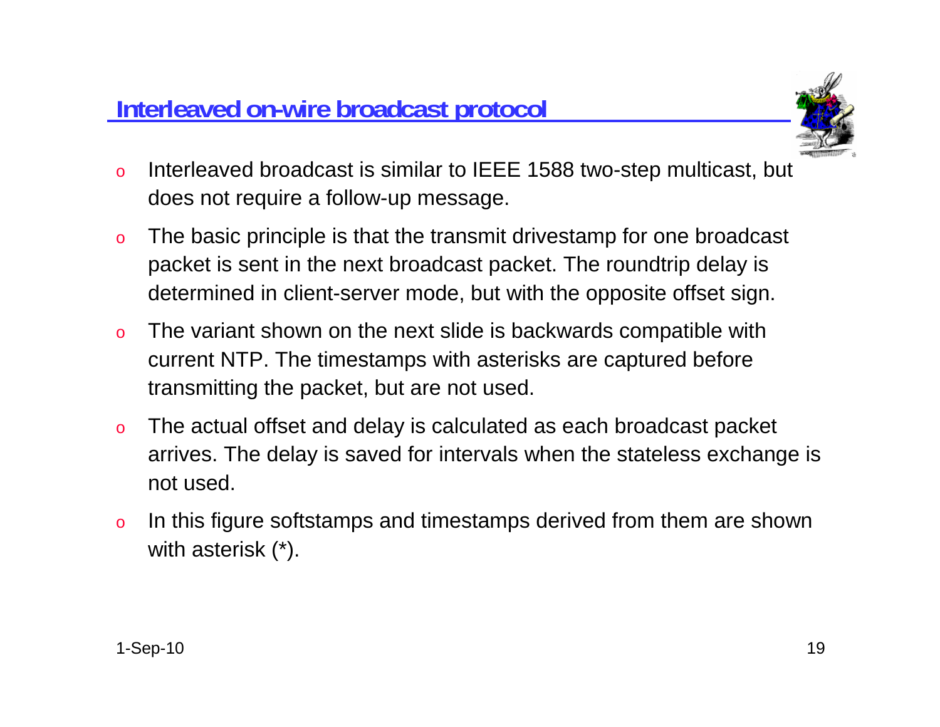

- o Interleaved broadcast is similar to IEEE 1588 two-step multicast, but does not require a follow-up message.
- o The basic principle is that the transmit drivestamp for one broadcast packet is sent in the next broadcast packet. The roundtrip delay is determined in client-server mode, but with the opposite offset sign.
- o The variant shown on the next slide is backwards compatible with current NTP. The timestamps with asterisks are captured before transmitting the packet, but are not used.
- o The actual offset and delay is calculated as each broadcast packet arrives. The delay is saved for intervals when the stateless exchange is not used.
- o In this figure softstamps and timestamps derived from them are shown with asterisk (\*).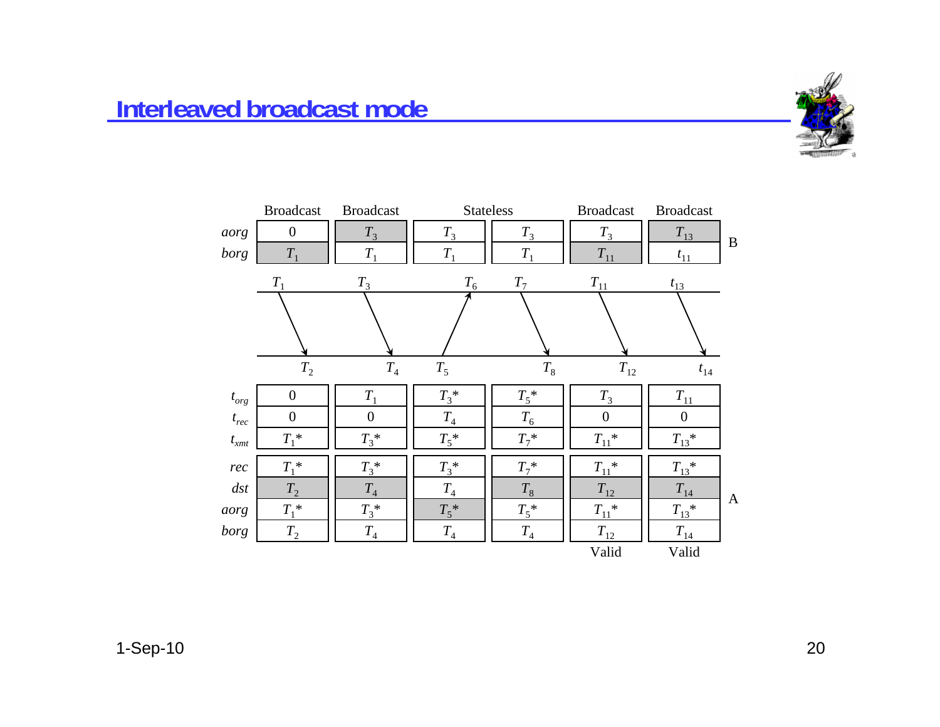

|           | <b>Broadcast</b> | <b>Broadcast</b> |               | <b>Stateless</b> | <b>Broadcast</b> | <b>Broadcast</b> |                  |
|-----------|------------------|------------------|---------------|------------------|------------------|------------------|------------------|
| aorg      | $\overline{0}$   | $T_3$            | $T_3$         | $T_3$            | $T_3$            | $T_{13}$         | $\boldsymbol{B}$ |
| borg      | $T_1$            | $T_1$            | $T_1$         | $T_1$            | $T_{11}$         | $t_{11}$         |                  |
|           | $T_1$            | $T_3$            | $T_6$         | $T_7$            | $T_{11}$         | $t_{13}$         |                  |
|           |                  |                  |               |                  |                  |                  |                  |
|           | $T_2$            | $T_{4}$          | $T_5$         | $T_8$            | $T_{12}$         | $t_{\rm 14}$     |                  |
| $t_{org}$ | $\overline{0}$   | $T_{1}$          | $T_3^*$       | $T_5^*$          | $T_3$            | $T_{11}$         |                  |
| $t_{rec}$ | $\overline{0}$   | $\boldsymbol{0}$ | $\, T_{4} \,$ | $T_6$            | $\overline{0}$   | $\overline{0}$   |                  |
| $t_{xmt}$ | $T_1^*$          | $T_3^*$          | $T_{5}$ *     | $T_7^*$          | $T_{11}$ *       | $T_{13}$ *       |                  |
| rec       | $T_1^*$          | $T_3^*$          | $T_3^*$       | $T_7^*$          | $T_{11}$ *       | $T_{13}$ *       |                  |
| $\,dst$   | $T_2$            | $T_{4}$          | $T_{4}$       | $T_8$            | $T_{12}$         | $T_{\rm 14}$     | $\overline{A}$   |
| aorg      | $T_1^*$          | $T_3^*$          | $T_5^*$       | $T_5^*$          | $T_{11}$ *       | $T_{13}$ *       |                  |
| borg      | $T_2$            | $\, T_{4} \,$    | $T_{4}$       | $T_{4}$          | $T_{12}$         | $T_{\rm 14}$     |                  |
|           |                  |                  |               |                  | Valid            | Valid            |                  |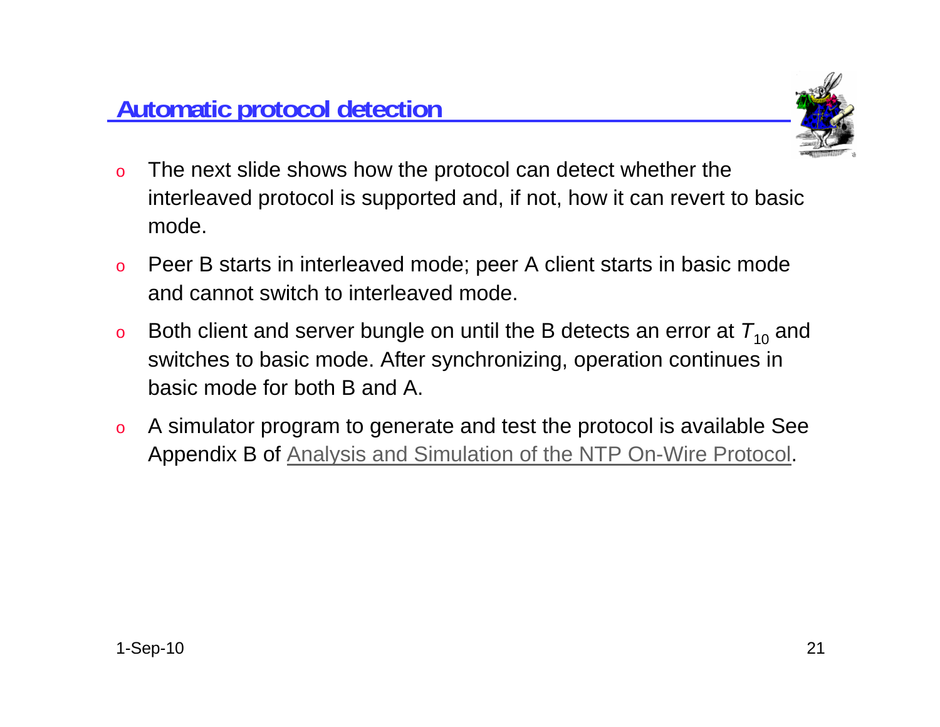

- o The next slide shows how the protocol can detect whether the interleaved protocol is supported and, if not, how it can revert to basic mode.
- o Peer B starts in interleaved mode; peer A client starts in basic mode and cannot switch to interleaved mode.
- o $\,$  Both client and server bungle on until the B detects an error at  $\,_{10}$  and switches to basic mode. After synchronizing, operation continues in basic mode for both B and A.
- o A simulator program to generate and test the protocol is available See Appendix B of Analysis and Simulation of the NTP On-Wire Protocol.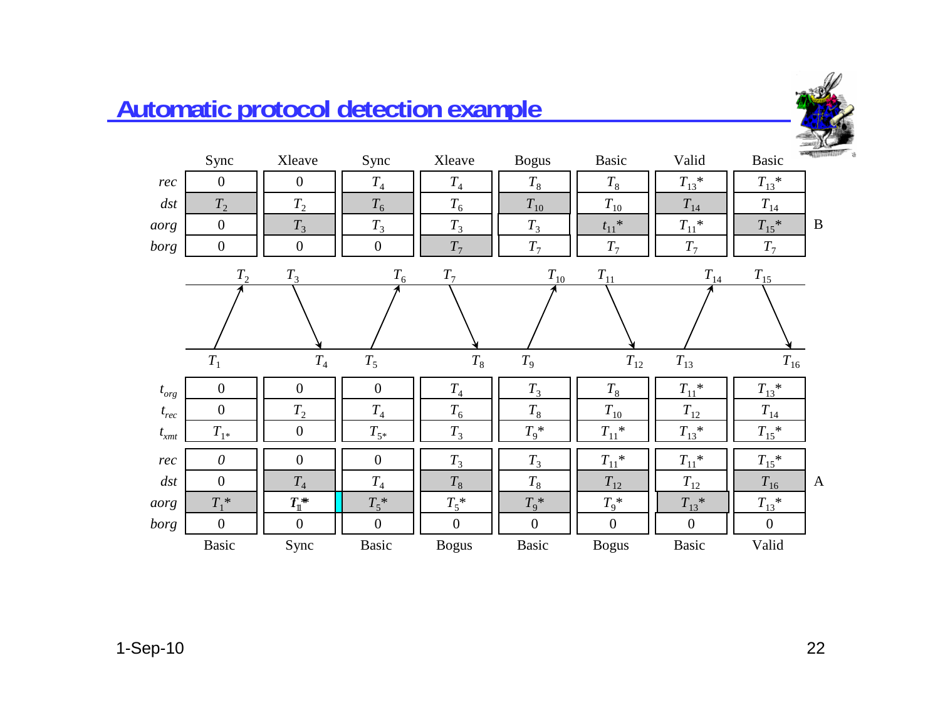# **Automatic protocol detection example**



|           | Sync             | Xleave           | Sync             | Xleave         | <b>Bogus</b> | <b>Basic</b> | Valid        | <b>Property Statement</b><br><b>Basic</b> |
|-----------|------------------|------------------|------------------|----------------|--------------|--------------|--------------|-------------------------------------------|
| rec       | $\boldsymbol{0}$ | $\boldsymbol{0}$ | $T_{4}$          | $T_{\rm 4}$    | $T_{8}$      | $T_8^{}$     | $T_{13}$ *   | $T_{13}$ *                                |
| $\,dst$   | $T_2$            | $T_{2}$          | $T_6$            | $T_6$          | $T_{10}$     | $T_{10}$     | $T_{\rm 14}$ | $T_{\rm 14}$                              |
| aorg      | $\boldsymbol{0}$ | $T_3$            | $T_3$            | $T_3$          | $T_3$        | $t_{11}$ *   | $T_{11}$ *   | $\bf{B}$<br>$T_{15}$ *                    |
| borg      | $\boldsymbol{0}$ | $\boldsymbol{0}$ | $\boldsymbol{0}$ | $T_7$          | $T_7$        | $T_7$        | $T_7$        | $T_7$                                     |
|           | $T_2$            | $T_3$            | $T_6$            | $T_7$          | $T_{10}$     | $T_{11}$     | $T_{14}$     | $T_{15}$                                  |
|           |                  |                  |                  |                |              |              |              |                                           |
|           |                  |                  |                  |                |              |              |              |                                           |
|           |                  |                  |                  |                |              |              |              |                                           |
|           | $T_1$            | $T_{4}$          | $T_5$            | $T_8$          | $T_{9}$      | $T_{12}$     | $T_{13}$     | $T_{16}$                                  |
| $t_{org}$ | $\boldsymbol{0}$ | $\overline{0}$   | $\overline{0}$   | $T_{4}$        | $T_3$        | $T_8^{}$     | $T_{11}$ *   | $T_{13}$ *                                |
| $t_{rec}$ | $\boldsymbol{0}$ | $T_{2}$          | $T_{4}$          | $T_6$          | $T_{\rm 8}$  | $T_{10}$     | $T_{12}$     | $T_{14}$                                  |
| $t_{xmt}$ | $T_{1^*}$        | $\mathbf{0}$     | $T_{5*}$         | $T_3$          | $T_9$ *      | $T_{11}$ *   | $T_{13}$ *   | $T_{15}$ *                                |
| rec       | $\theta$         | $\overline{0}$   | $\mathbf{0}$     | $T_3$          | $T_3$        | $T_{11}$ *   | $T_{11}$ *   | $T_{15}$ *                                |
| $\,dst$   | $\boldsymbol{0}$ | $T_{4}$          | $T_{4}$          | $T_8^{}$       | $T_8^{}$     | $T_{12}$     | $T_{12}$     | $T_{16}$<br>$\mathbf{A}$                  |
| aorg      | $T_1^*$          | $T_1^*$          | $T_5^*$          | $T_5^*$        | $T_9$ *      | $T_9$ *      | $T_{13}$ *   | $T_{13}^*$                                |
| borg      | $\overline{0}$   | $\overline{0}$   | $\theta$         | $\overline{0}$ | $\mathbf{0}$ | $\mathbf{0}$ | $\mathbf{0}$ | $\mathbf{0}$                              |
|           | Basic            | Sync             | Basic            | <b>Bogus</b>   | <b>Basic</b> | <b>Bogus</b> | <b>Basic</b> | Valid                                     |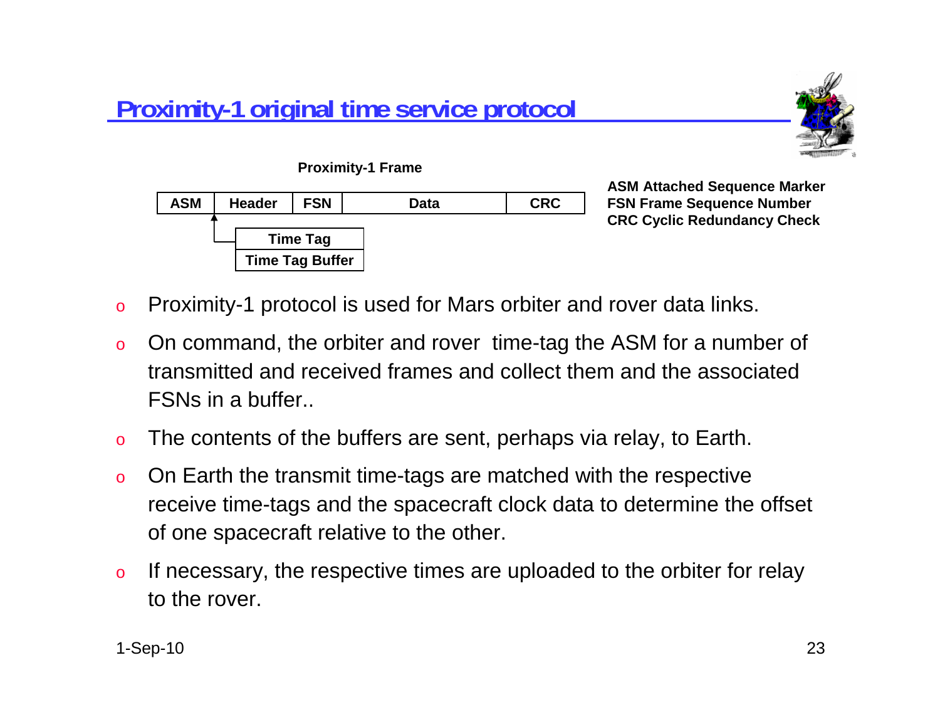# **Proximity-1 original time service protocol**





**ASM Attached Sequence Marker FSN Frame Sequence Number CRC Cyclic Redundancy Check**

- oProximity-1 protocol is used for Mars orbiter and rover data links.
- o On command, the orbiter and rover time-tag the ASM for a number of transmitted and received frames and collect them and the associated FSNs in a buffer..
- oThe contents of the buffers are sent, perhaps via relay, to Earth.
- o On Earth the transmit time-tags are matched with the respective receive time-tags and the spacecraft clock data to determine the offset of one spacecraft relative to the other.
- o If necessary, the respective times are uploaded to the orbiter for relay to the rover.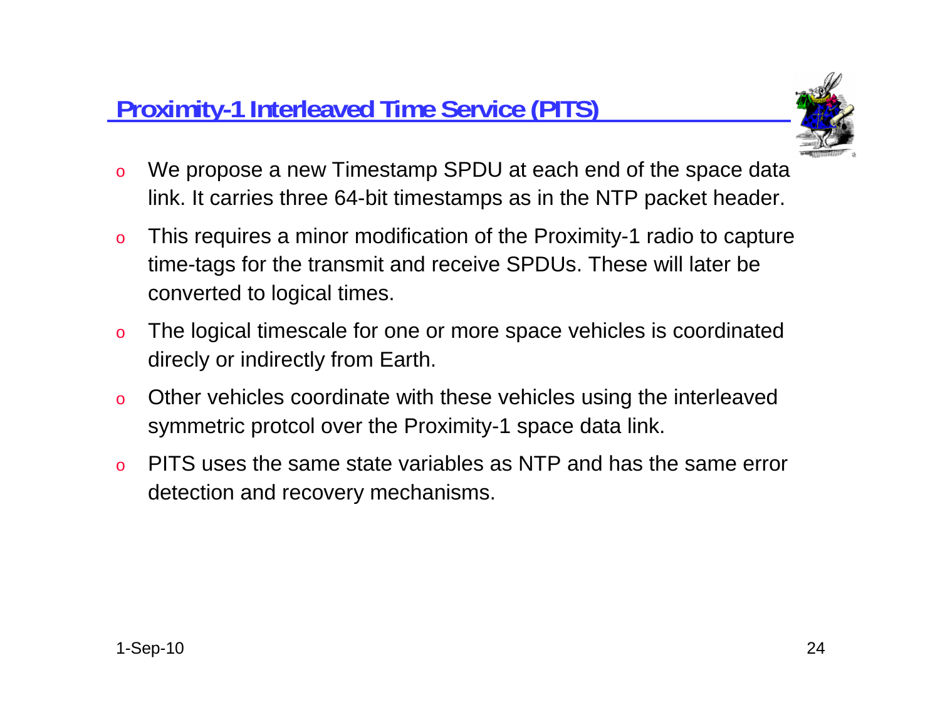### **Proximity-1 Interleaved Time Service (PITS)**



- o We propose a new Timestamp SPDU at each end of the space data link. It carries three 64-bit timestamps as in the NTP packet header.
- o This requires a minor modification of the Proximity-1 radio to capture time-tags for the transmit and receive SPDUs. These will later be converted to logical times.
- o The logical timescale for one or more space vehicles is coordinated direcly or indirectly from Earth.
- o Other vehicles coordinate with these vehicles using the interleaved symmetric protcol over the Proximity-1 space data link.
- o PITS uses the same state variables as NTP and has the same error detection and recovery mechanisms.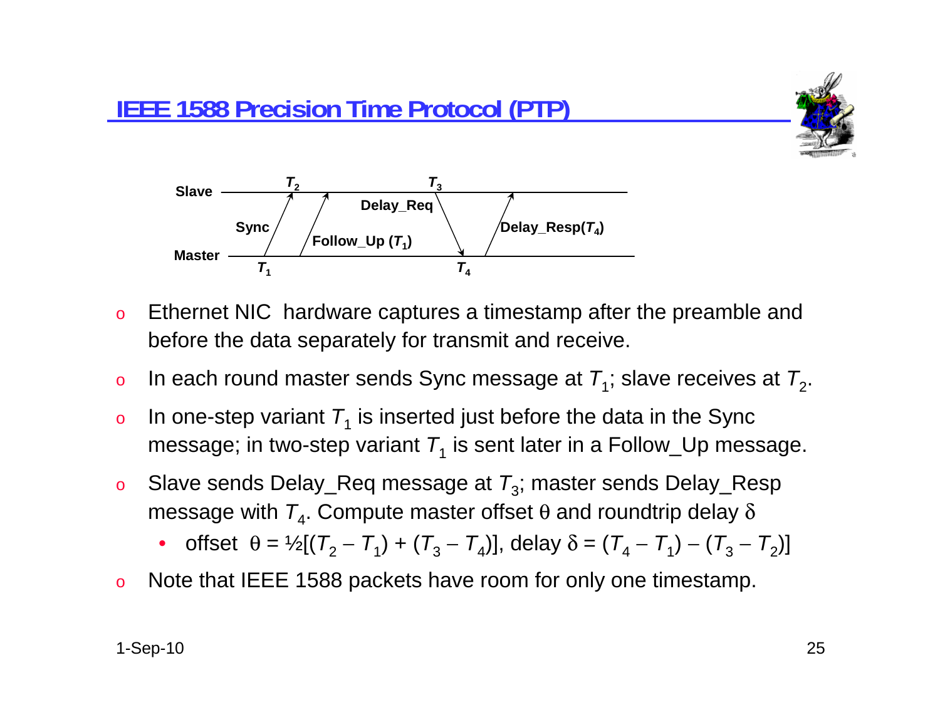





- o Ethernet NIC hardware captures a timestamp after the preamble and before the data separately for transmit and receive.
- oIn each round master sends Sync message at  $T_1$ ; slave receives at  $T_2$ .
- o $\, \circ \,$  In one-step variant  $\, T_{\text{1}}$  is inserted just before the data in the Sync message; in two-step variant  $\mathcal{T}_1$  is sent later in a Follow\_Up message.
- oSlave sends Delay\_Req message at *T*<sub>3</sub>; master sends Delay\_Resp message with  $T_4$ . Compute master offset  $\theta$  and roundtrip delay  $\delta$ 
	- •• offset θ = ½[( $T_2 - T_1$ ) + ( $T_3 - T_4$ )], delay δ = ( $T_4 - T_1$ ) – ( $T_3 - T_2$ )]
- oNote that IEEE 1588 packets have room for only one timestamp.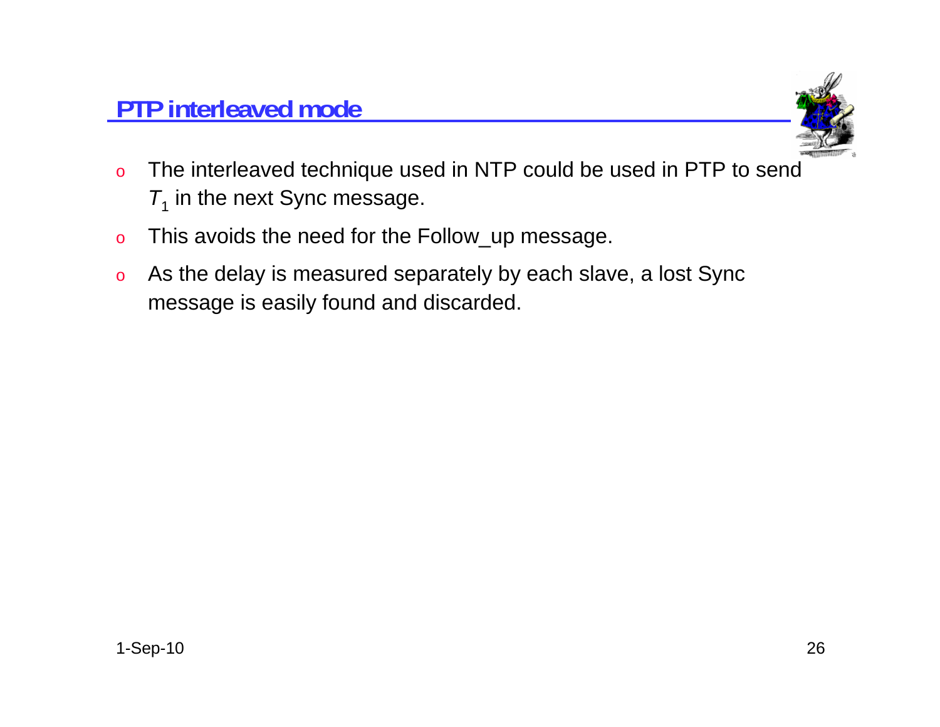

- o The interleaved technique used in NTP could be used in PTP to send  $\mathcal{T}_1$  in the next Sync message.
- oThis avoids the need for the Follow\_up message.
- o As the delay is measured separately by each slave, a lost Sync message is easily found and discarded.